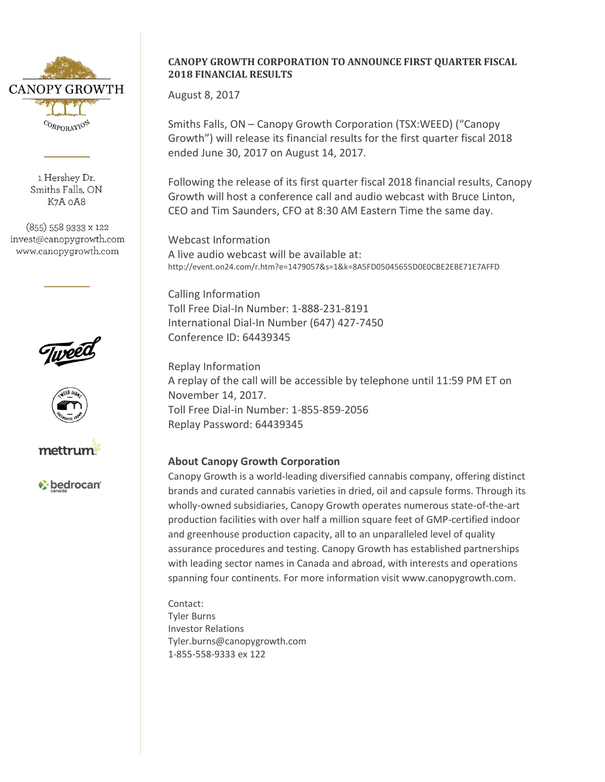

1 Hershev Dr. Smiths Falls, ON K7A oA8

(855) 558 9333 x 122 invest@canopygrowth.com www.canopygrowth.com







bedrocan<sup>®</sup>

## **CANOPY GROWTH CORPORATION TO ANNOUNCE FIRST QUARTER FISCAL 2018 FINANCIAL RESULTS**

August 8, 2017

Smiths Falls, ON – Canopy Growth Corporation (TSX:WEED) ("Canopy Growth") will release its financial results for the first quarter fiscal 2018 ended June 30, 2017 on August 14, 2017.

Following the release of its first quarter fiscal 2018 financial results, Canopy Growth will host a conference call and audio webcast with Bruce Linton, CEO and Tim Saunders, CFO at 8:30 AM Eastern Time the same day.

Webcast Information A live audio webcast will be available at: http://event.on24.com/r.htm?e=1479057&s=1&k=8A5FD05045655D0E0CBE2EBE71E7AFFD

Calling Information Toll Free Dial-In Number: 1-888-231-8191 International Dial-In Number (647) 427-7450 Conference ID: 64439345

Replay Information A replay of the call will be accessible by telephone until 11:59 PM ET on November 14, 2017. Toll Free Dial-in Number: 1-855-859-2056 Replay Password: 64439345

## **About Canopy Growth Corporation**

Canopy Growth is a world-leading diversified cannabis company, offering distinct brands and curated cannabis varieties in dried, oil and capsule forms. Through its wholly-owned subsidiaries, Canopy Growth operates numerous state-of-the-art production facilities with over half a million square feet of GMP-certified indoor and greenhouse production capacity, all to an unparalleled level of quality assurance procedures and testing. Canopy Growth has established partnerships with leading sector names in Canada and abroad, with interests and operations spanning four continents. For more information visit www.canopygrowth.com.

Contact: Tyler Burns Investor Relations [Tyler.burns@canopygrowth.com](mailto:Tyler.burns@canopygrowth.com) 1-855-558-9333 ex 122